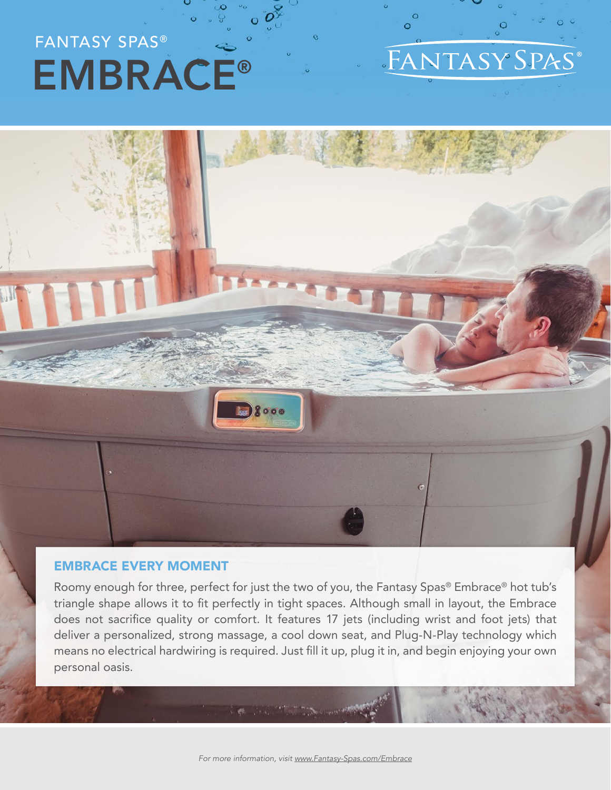### FANTASY SPAS® EMBRACE®

#### FANTASY SPAS

 $\Omega$ 

#### EMBRACE EVERY MOMENT

Roomy enough for three, perfect for just the two of you, the Fantasy Spas® Embrace® hot tub's triangle shape allows it to fit perfectly in tight spaces. Although small in layout, the Embrace does not sacrifice quality or comfort. It features 17 jets (including wrist and foot jets) that deliver a personalized, strong massage, a cool down seat, and Plug-N-Play technology which means no electrical hardwiring is required. Just fill it up, plug it in, and begin enjoying your own personal oasis.

 $8000$